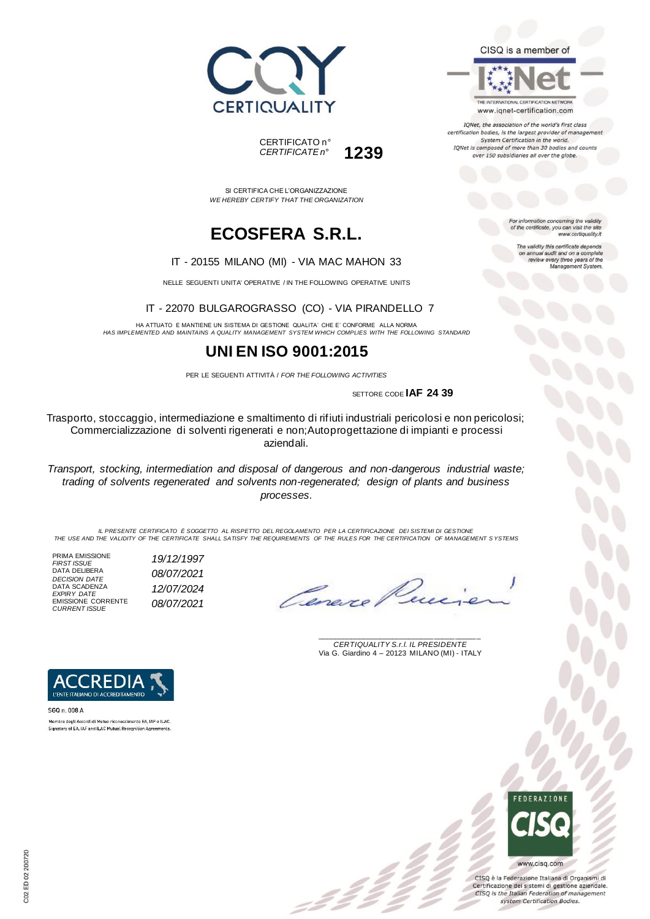



SI CERTIFICA CHE L'ORGANIZZAZIONE *WE HEREBY CERTIFY THAT THE ORGANIZATION*

## **ECOSFERA S.R.L.**

#### IT - 20155 MILANO (MI) - VIA MAC MAHON 33

NELLE SEGUENTI UNITA' OPERATIVE / IN THE FOLLOWING OPERATIVE UNITS

### IT - 22070 BULGAROGRASSO (CO) - VIA PIRANDELLO 7

HA ATTUATO E MANTIENE UN SISTEMA DI GESTIONE QUALITA' CHE E' CONFORME ALLA NORMA *HAS IMPLEMENTED AND MAINTAINS A QUALITY MANAGEMENT SYSTEM WHICH COMPLIES WITH THE FOLLOWING STANDARD*

## **UNI EN ISO 9001:2015**

PER LE SEGUENTI ATTIVITÀ / *FOR THE FOLLOWING ACTIVITIES*

SETTORE CODE **IAF 24 39**

Trasporto, stoccaggio, intermediazione e smaltimento di rifiuti industriali pericolosi e non pericolosi; Commercializzazione di solventi rigenerati e non;Autoprogettazione di impianti e processi aziendali.

*Transport, stocking, intermediation and disposal of dangerous and non-dangerous industrial waste; trading of solvents regenerated and solvents non-regenerated; design of plants and business processes.*

*IL PRESENTE CERTIFICATO È SOGGETTO AL RISPETTO DEL REGOLAMENTO PER LA CERTIFICAZIONE DEI SISTEMI DI GESTIONE THE USE AND THE VALIDITY OF THE CERTIFICATE SHALL SATISFY THE REQUIREMENTS OF THE RULES FOR THE CERTIFICATION OF MANAGEMENT S YSTEMS*

PRIMA EMISSIONE *FIRST ISSUE 19/12/1997* DATA DELIBERA *DECISION DATE 08/07/2021* DATA SCADENZA *EXPIRY DATE 12/07/2024* EMISSIONE CORRENTE *CURRENT ISSUE 08/07/2021*

Cena

\_\_\_\_\_\_\_\_\_\_\_\_\_\_\_\_\_\_\_\_\_\_\_\_\_\_\_\_\_\_\_\_\_\_\_\_\_\_\_ *CERTIQUALITY S.r.l. IL PRESIDENTE* Via G. Giardino 4 – 20123 MILANO (MI) - ITALY



SGQ n. 008 A Membro degli Accordi di Mutuo riconoscimento EA, IAF e ILAC. Signatory of EA, IAF and ILAC Mutual Recognition Agreements

> **FDFRATIONS** www.cisq.com

CISQ è la Federazione Italiana di Organismi di Certificazione dei sistemi di gestione aziendale. CISQ is the Italian Federation of management system Certification Bodies.



IQNet, the association of the world's first class certification bodies, is the largest provider of manageme. System Certification in the world.

IQNet is composed of more than 30 bodies and counts over 150 subsidiaries all over the globe.

> For information concerning the validity<br>of the certificate, you can visit the site www.certiquality.it

> > The validity this certificate depends on annual audit and on a complete<br>review every three years of the<br>Management System.